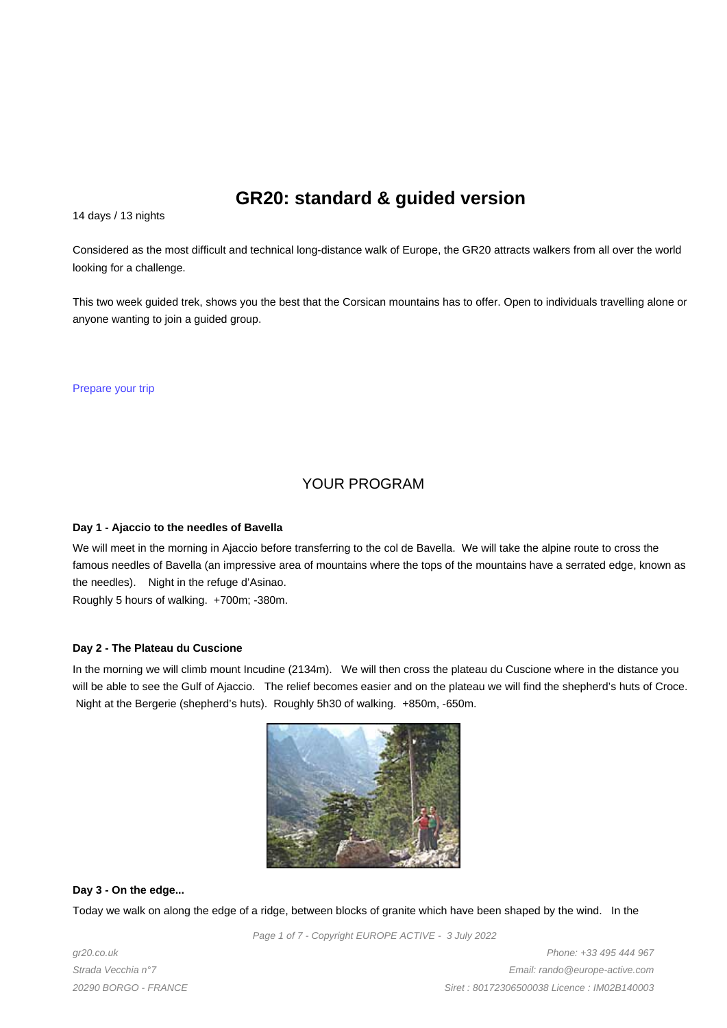# **GR20: standard & guided version**

14 days / 13 nights

Considered as the most difficult and technical long-distance walk of Europe, the GR20 attracts walkers from all over the world looking for a challenge.

This two week guided trek, shows you the best that the Corsican mountains has to offer. Open to individuals travelling alone or anyone wanting to join a guided group.

Prepare your trip

# YOUR PROGRAM

### **Day 1 - Ajaccio to the needles of Bavella**

We will meet in the morning in Ajaccio before transferring to the col de Bavella. We will take the alpine route to cross the famous needles of Bavella (an impressive area of mountains where the tops of the mountains have a serrated edge, known as the needles). Night in the refuge d'Asinao.

Roughly 5 hours of walking. +700m; -380m.

### **Day 2 - The Plateau du Cuscione**

In the morning we will climb mount Incudine (2134m). We will then cross the plateau du Cuscione where in the distance you will be able to see the Gulf of Ajaccio. The relief becomes easier and on the plateau we will find the shepherd's huts of Croce. Night at the Bergerie (shepherd's huts). Roughly 5h30 of walking. +850m, -650m.



**Day 3 - On the edge...**

Today we walk on along the edge of a ridge, between blocks of granite which have been shaped by the wind. In the

Page 1 of 7 - Copyright EUROPE ACTIVE - 3 July 2022

gr20.co.uk Strada Vecchia n°7 20290 BORGO - FRANCE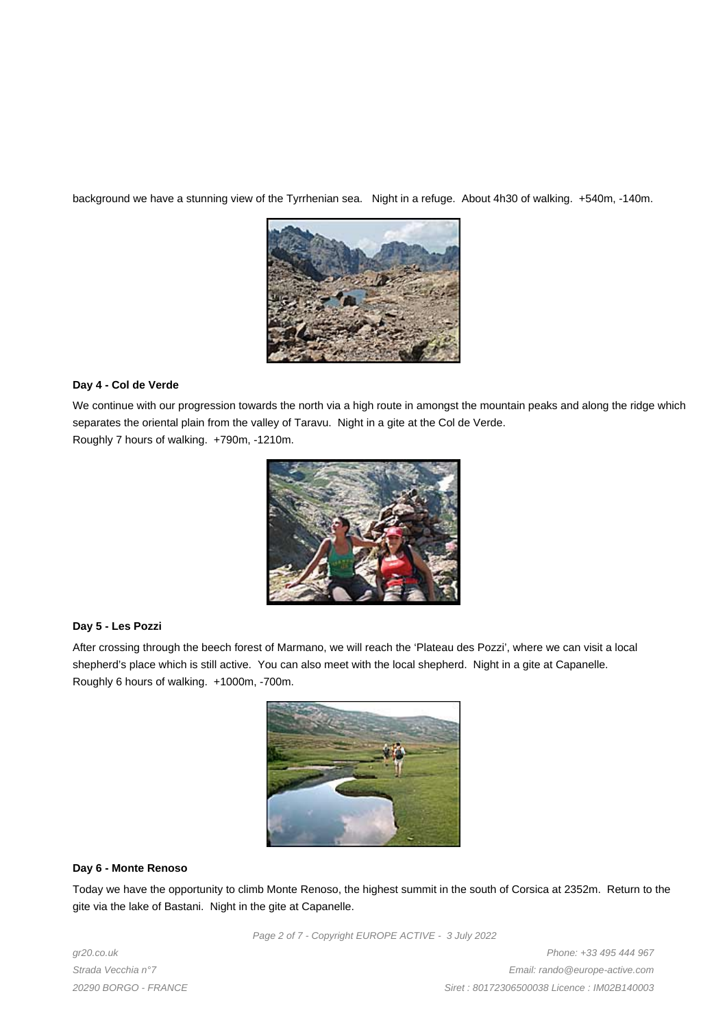background we have a stunning view of the Tyrrhenian sea. Night in a refuge. About 4h30 of walking. +540m, -140m.



# **Day 4 - Col de Verde**

We continue with our progression towards the north via a high route in amongst the mountain peaks and along the ridge which separates the oriental plain from the valley of Taravu. Night in a gite at the Col de Verde. Roughly 7 hours of walking. +790m, -1210m.



### **Day 5 - Les Pozzi**

After crossing through the beech forest of Marmano, we will reach the 'Plateau des Pozzi', where we can visit a local shepherd's place which is still active. You can also meet with the local shepherd. Night in a gite at Capanelle. Roughly 6 hours of walking. +1000m, -700m.



### **Day 6 - Monte Renoso**

Today we have the opportunity to climb Monte Renoso, the highest summit in the south of Corsica at 2352m. Return to the gite via the lake of Bastani. Night in the gite at Capanelle.

Page 2 of 7 - Copyright EUROPE ACTIVE - 3 July 2022

gr20.co.uk Strada Vecchia n°7 20290 BORGO - FRANCE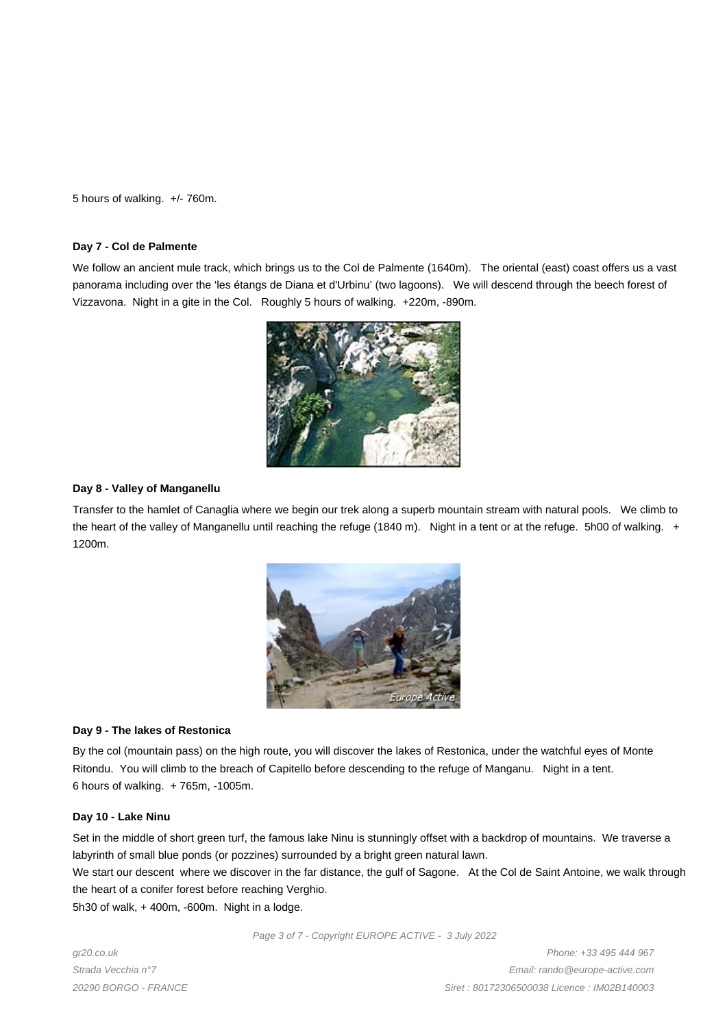5 hours of walking. +/- 760m.

#### **Day 7 - Col de Palmente**

We follow an ancient mule track, which brings us to the Col de Palmente (1640m). The oriental (east) coast offers us a vast panorama including over the 'les étangs de Diana et d'Urbinu' (two lagoons). We will descend through the beech forest of Vizzavona. Night in a gite in the Col. Roughly 5 hours of walking. +220m, -890m.



### **Day 8 - Valley of Manganellu**

Transfer to the hamlet of Canaglia where we begin our trek along a superb mountain stream with natural pools. We climb to the heart of the valley of Manganellu until reaching the refuge (1840 m). Night in a tent or at the refuge. 5h00 of walking. + 1200m.



### **Day 9 - The lakes of Restonica**

By the col (mountain pass) on the high route, you will discover the lakes of Restonica, under the watchful eyes of Monte Ritondu. You will climb to the breach of Capitello before descending to the refuge of Manganu. Night in a tent. 6 hours of walking. + 765m, -1005m.

### **Day 10 - Lake Ninu**

Set in the middle of short green turf, the famous lake Ninu is stunningly offset with a backdrop of mountains. We traverse a labyrinth of small blue ponds (or pozzines) surrounded by a bright green natural lawn.

We start our descent where we discover in the far distance, the gulf of Sagone. At the Col de Saint Antoine, we walk through the heart of a conifer forest before reaching Verghio.

5h30 of walk, + 400m, -600m. Night in a lodge.

gr20.co.uk Strada Vecchia n°7 20290 BORGO - FRANCE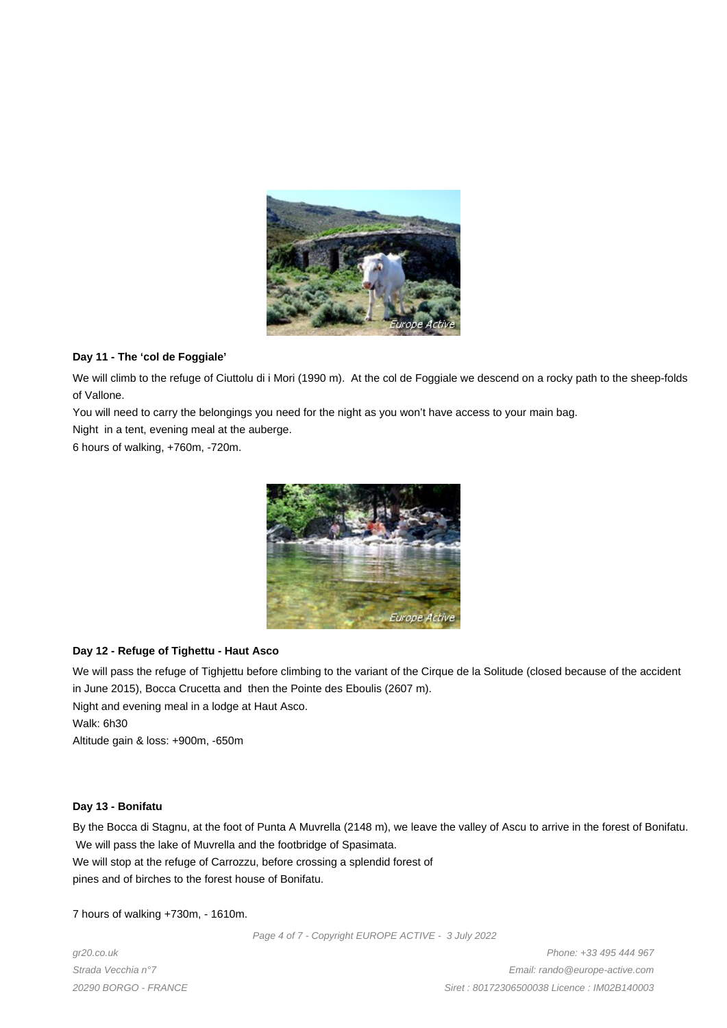

# **Day 11 - The 'col de Foggiale'**

We will climb to the refuge of Ciuttolu di i Mori (1990 m). At the col de Foggiale we descend on a rocky path to the sheep-folds of Vallone.

You will need to carry the belongings you need for the night as you won't have access to your main bag.

Night in a tent, evening meal at the auberge.

6 hours of walking, +760m, -720m.



### **Day 12 - Refuge of Tighettu - Haut Asco**

We will pass the refuge of Tighjettu before climbing to the variant of the Cirque de la Solitude (closed because of the accident in June 2015), Bocca Crucetta and then the Pointe des Eboulis (2607 m).

Night and evening meal in a lodge at Haut Asco. Walk: 6h30

Altitude gain & loss: +900m, -650m

### **Day 13 - Bonifatu**

By the Bocca di Stagnu, at the foot of Punta A Muvrella (2148 m), we leave the valley of Ascu to arrive in the forest of Bonifatu. We will pass the lake of Muvrella and the footbridge of Spasimata. We will stop at the refuge of Carrozzu, before crossing a splendid forest of

pines and of birches to the forest house of Bonifatu.

7 hours of walking +730m, - 1610m.

Page 4 of 7 - Copyright EUROPE ACTIVE - 3 July 2022

gr20.co.uk Strada Vecchia n°7 20290 BORGO - FRANCE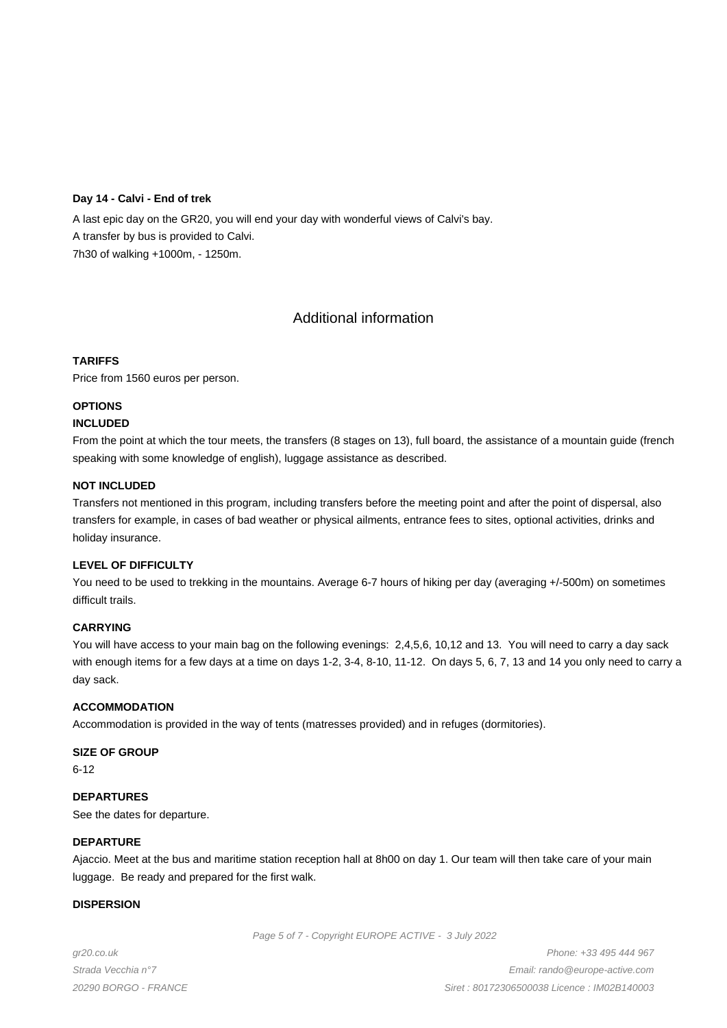### **Day 14 - Calvi - End of trek**

A last epic day on the GR20, you will end your day with wonderful views of Calvi's bay. A transfer by bus is provided to Calvi. 7h30 of walking +1000m, - 1250m.

# Additional information

### **TARIFFS**

Price from 1560 euros per person.

# **OPTIONS**

# **INCLUDED**

From the point at which the tour meets, the transfers (8 stages on 13), full board, the assistance of a mountain guide (french speaking with some knowledge of english), luggage assistance as described.

### **NOT INCLUDED**

Transfers not mentioned in this program, including transfers before the meeting point and after the point of dispersal, also transfers for example, in cases of bad weather or physical ailments, entrance fees to sites, optional activities, drinks and holiday insurance.

### **LEVEL OF DIFFICULTY**

You need to be used to trekking in the mountains. Average 6-7 hours of hiking per day (averaging +/-500m) on sometimes difficult trails.

### **CARRYING**

You will have access to your main bag on the following evenings: 2,4,5,6, 10,12 and 13. You will need to carry a day sack with enough items for a few days at a time on days 1-2, 3-4, 8-10, 11-12. On days 5, 6, 7, 13 and 14 you only need to carry a day sack.

### **ACCOMMODATION**

Accommodation is provided in the way of tents (matresses provided) and in refuges (dormitories).

### **SIZE OF GROUP**

6-12

**DEPARTURES** See the dates for departure.

### **DEPARTURE**

Ajaccio. Meet at the bus and maritime station reception hall at 8h00 on day 1. Our team will then take care of your main luggage. Be ready and prepared for the first walk.

# **DISPERSION**

Page 5 of 7 - Copyright EUROPE ACTIVE - 3 July 2022

gr20.co.uk Strada Vecchia n°7 20290 BORGO - FRANCE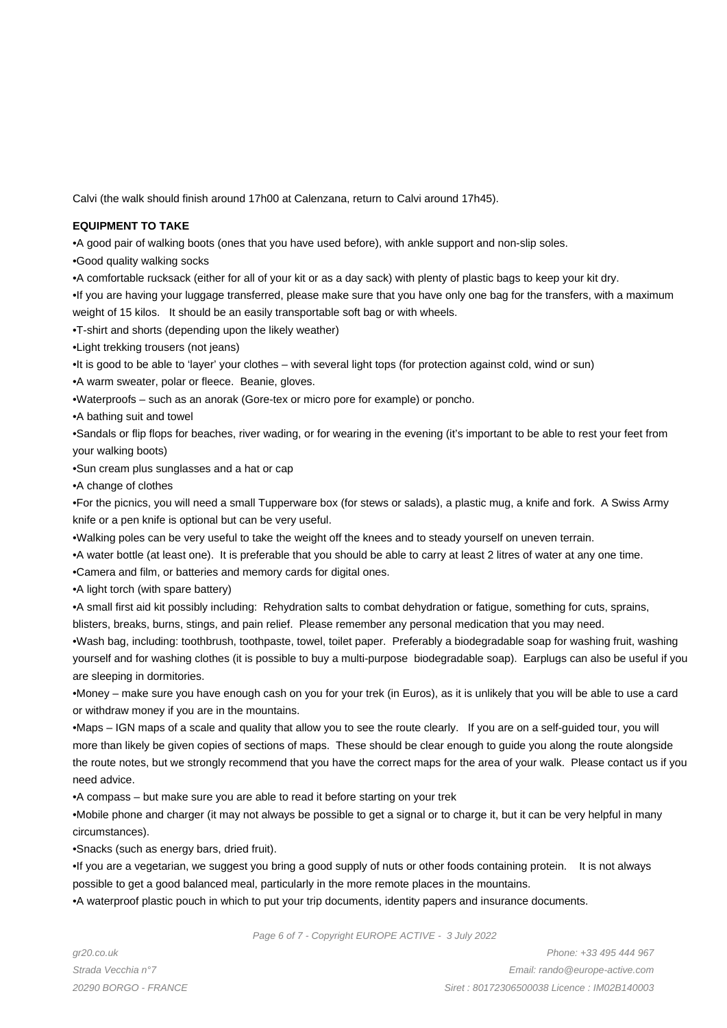Calvi (the walk should finish around 17h00 at Calenzana, return to Calvi around 17h45).

### **EQUIPMENT TO TAKE**

• A good pair of walking boots (ones that you have used before), with ankle support and non-slip soles.

- • Good quality walking socks
- • A comfortable rucksack (either for all of your kit or as a day sack) with plenty of plastic bags to keep your kit dry.

• If you are having your luggage transferred, please make sure that you have only one bag for the transfers, with a maximum weight of 15 kilos. It should be an easily transportable soft bag or with wheels.

- • T-shirt and shorts (depending upon the likely weather)
- • Light trekking trousers (not jeans)
- • It is good to be able to 'layer' your clothes with several light tops (for protection against cold, wind or sun)
- A warm sweater, polar or fleece. Beanie, gloves.
- • Waterproofs such as an anorak (Gore-tex or micro pore for example) or poncho.
- • A bathing suit and towel

• Sandals or flip flops for beaches, river wading, or for wearing in the evening (it's important to be able to rest your feet from your walking boots)

- Sun cream plus sunglasses and a hat or cap
- • A change of clothes

• For the picnics, you will need a small Tupperware box (for stews or salads), a plastic mug, a knife and fork. A Swiss Army knife or a pen knife is optional but can be very useful.

- • Walking poles can be very useful to take the weight off the knees and to steady yourself on uneven terrain.
- • A water bottle (at least one). It is preferable that you should be able to carry at least 2 litres of water at any one time.
- Camera and film, or batteries and memory cards for digital ones.
- A light torch (with spare battery)

• A small first aid kit possibly including: Rehydration salts to combat dehydration or fatigue, something for cuts, sprains, blisters, breaks, burns, stings, and pain relief. Please remember any personal medication that you may need.

• Wash bag, including: toothbrush, toothpaste, towel, toilet paper. Preferably a biodegradable soap for washing fruit, washing yourself and for washing clothes (it is possible to buy a multi-purpose biodegradable soap). Earplugs can also be useful if you are sleeping in dormitories.

• Money – make sure you have enough cash on you for your trek (in Euros), as it is unlikely that you will be able to use a card or withdraw money if you are in the mountains.

• Maps – IGN maps of a scale and quality that allow you to see the route clearly. If you are on a self-guided tour, you will more than likely be given copies of sections of maps. These should be clear enough to guide you along the route alongside the route notes, but we strongly recommend that you have the correct maps for the area of your walk. Please contact us if you need advice.

• A compass – but make sure you are able to read it before starting on your trek

• Mobile phone and charger (it may not always be possible to get a signal or to charge it, but it can be very helpful in many circumstances).

• Snacks (such as energy bars, dried fruit).

• If you are a vegetarian, we suggest you bring a good supply of nuts or other foods containing protein. It is not always possible to get a good balanced meal, particularly in the more remote places in the mountains.

• A waterproof plastic pouch in which to put your trip documents, identity papers and insurance documents.